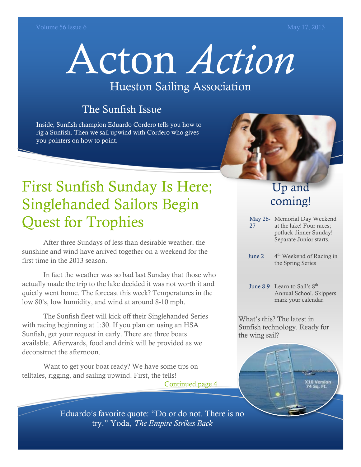# Acton *Action*

#### Hueston Sailing Association

#### The Sunfish Issue

Inside, Sunfish champion Eduardo Cordero tells you how to rig a Sunfish. Then we sail upwind with Cordero who gives you pointers on how to point.



## First Sunfish Sunday Is Here; Singlehanded Sailors Begin Quest for Trophies

After three Sundays of less than desirable weather, the sunshine and wind have arrived together on a weekend for the first time in the 2013 season.

In fact the weather was so bad last Sunday that those who actually made the trip to the lake decided it was not worth it and quietly went home. The forecast this week? Temperatures in the low 80's, low humidity, and wind at around 8-10 mph.

The Sunfish fleet will kick off their Singlehanded Series with racing beginning at 1:30. If you plan on using an HSA Sunfish, get your request in early. There are three boats available. Afterwards, food and drink will be provided as we deconstruct the afternoon.

Want to get your boat ready? We have some tips on telltales, rigging, and sailing upwind. First, the tells!

Continued page 4

#### Up and coming!

- May 26- Memorial Day Weekend 27 at the lake! Four races; potluck dinner Sunday! Separate Junior starts.
- June 2 4<sup>th</sup> Weekend of Racing in the Spring Series
- June 8-9 Learn to Sail's 8<sup>th</sup> Annual School. Skippers mark your calendar.

What's this? The latest in Sunfish technology. Ready for the wing sail?



Eduardo's favorite quote: "Do or do not. There is no try." Yoda, *The Empire Strikes Back*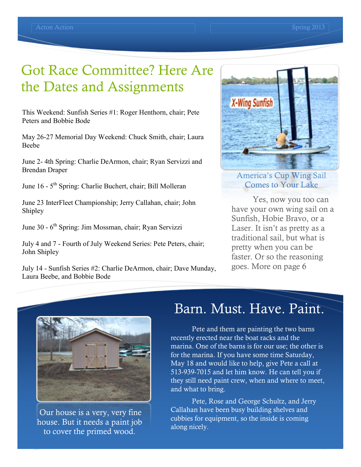## Got Race Committee? Here Are the Dates and Assignments

This Weekend: Sunfish Series #1: Roger Henthorn, chair; Pete Peters and Bobbie Bode

May 26-27 Memorial Day Weekend: Chuck Smith, chair; Laura Beebe

June 2- 4th Spring: Charlie DeArmon, chair; Ryan Servizzi and Brendan Draper

June 16 - 5<sup>th</sup> Spring: Charlie Buchert, chair; Bill Molleran

June 23 InterFleet Championship; Jerry Callahan, chair; John Shipley

June 30 - 6<sup>th</sup> Spring: Jim Mossman, chair; Ryan Servizzi

July 4 and 7 - Fourth of July Weekend Series: Pete Peters, chair; John Shipley

July 14 - Sunfish Series #2: Charlie DeArmon, chair; Dave Munday, Laura Beebe, and Bobbie Bode



America's Cup Wing Sail Comes to Your Lake

Yes, now you too can have your own wing sail on a Sunfish, Hobie Bravo, or a Laser. It isn't as pretty as a traditional sail, but what is pretty when you can be faster. Or so the reasoning goes. More on page 6



Our house is a very, very fine house. But it needs a paint job to cover the primed wood.

#### Barn. Must. Have. Paint.

Pete and them are painting the two barns recently erected near the boat racks and the marina. One of the barns is for our use; the other is for the marina. If you have some time Saturday, May 18 and would like to help, give Pete a call at 513-939-7015 and let him know. He can tell you if they still need paint crew, when and where to meet, and what to bring.

Pete, Rose and George Schultz, and Jerry Callahan have been busy building shelves and cubbies for equipment, so the inside is coming along nicely.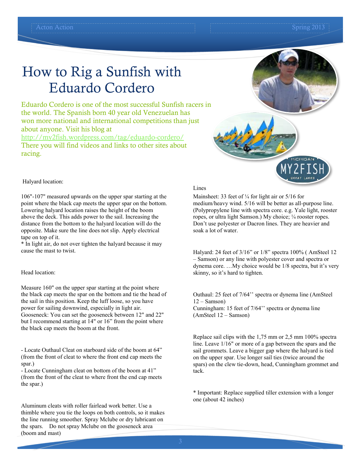## How to Rig a Sunfish with Eduardo Cordero

Eduardo Cordero is one of the most successful Sunfish racers in the world. The Spanish born 40 year old Venezuelan has won more national and international competitions than just about anyone. Visit his blog at

<http://my2fish.wordpress.com/tag/eduardo-cordero/> There you will find videos and links to other sites about racing.





Halyard location:

106"-107" measured upwards on the upper spar starting at the point where the black cap meets the upper spar on the bottom. Lowering halyard location raises the height of the boom above the deck. This adds power to the sail. Increasing the distance from the bottom to the halyard location will do the opposite. Make sure the line does not slip. Apply electrical tape on top of it.

\* In light air, do not over tighten the halyard because it may cause the mast to twist.

#### Head location:

Measure 160" on the upper spar starting at the point where the black cap meets the spar on the bottom and tie the head of the sail in this position. Keep the luff loose, so you have power for sailing downwind, especially in light air. Gooseneck: You can set the gooseneck between 12" and 22" but I recommend starting at 14" or 16" from the point where the black cap meets the boom at the front.

- Locate Outhaul Cleat on starboard side of the boom at 64" (from the front of cleat to where the front end cap meets the spar.)

- Locate Cunningham cleat on bottom of the boom at 41" (from the front of the cleat to where front the end cap meets the spar.)

Aluminum cleats with roller fairlead work better. Use a thimble where you tie the loops on both controls, so it makes the line running smoother. Spray Mclube or dry lubricant on the spars. Do not spray Mclube on the gooseneck area (boom and mast)

#### Lines

Mainsheet: 33 feet of  $\frac{1}{4}$  for light air or 5/16 for medium/heavy wind. 5/16 will be better as all-purpose line. (Polypropylene line with spectra core. e.g. Yale light, rooster ropes, or ultra light Samson.) My choice; ¼ rooster ropes. Don't use polyester or Dacron lines. They are heavier and soak a lot of water.

Halyard: 24 feet of 3/16" or 1/8" spectra 100% ( AmSteel 12 – Samson) or any line with polyester cover and spectra or dynema core. …My choice would be 1/8 spectra, but it's very skinny, so it's hard to tighten.

Outhaul: 25 feet of 7/64'' spectra or dynema line (AmSteel  $12 -$ Samson) Cunningham: 15 feet of 7/64'' spectra or dynema line (AmSteel 12 – Samson)

Replace sail clips with the 1,75 mm or 2,5 mm 100% spectra line. Leave 1/16" or more of a gap between the spars and the sail grommets. Leave a bigger gap where the halyard is tied on the upper spar. Use longer sail ties (twice around the spars) on the clew tie-down, head, Cunningham grommet and tack.

\* Important: Replace supplied tiller extension with a longer one (about 42 inches)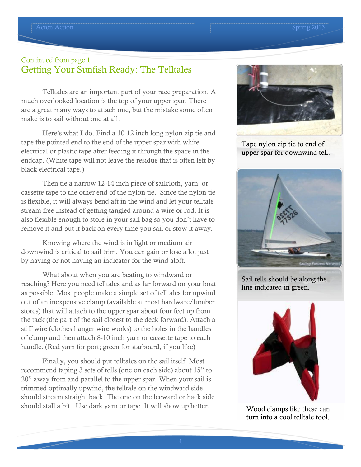#### Continued from page 1 Getting Your Sunfish Ready: The Telltales

Telltales are an important part of your race preparation. A much overlooked location is the top of your upper spar. There are a great many ways to attach one, but the mistake some often make is to sail without one at all.

Here's what I do. Find a 10-12 inch long nylon zip tie and tape the pointed end to the end of the upper spar with white electrical or plastic tape after feeding it through the space in the endcap. (White tape will not leave the residue that is often left by black electrical tape.)

Then tie a narrow 12-14 inch piece of sailcloth, yarn, or cassette tape to the other end of the nylon tie. Since the nylon tie is flexible, it will always bend aft in the wind and let your telltale stream free instead of getting tangled around a wire or rod. It is also flexible enough to store in your sail bag so you don't have to remove it and put it back on every time you sail or stow it away.

Knowing where the wind is in light or medium air downwind is critical to sail trim. You can gain or lose a lot just by having or not having an indicator for the wind aloft.

What about when you are beating to windward or reaching? Here you need telltales and as far forward on your boat as possible. Most people make a simple set of telltales for upwind out of an inexpensive clamp (available at most hardware/lumber stores) that will attach to the upper spar about four feet up from the tack (the part of the sail closest to the deck forward). Attach a stiff wire (clothes hanger wire works) to the holes in the handles of clamp and then attach 8-10 inch yarn or cassette tape to each handle. (Red yarn for port; green for starboard, if you like)

Finally, you should put telltales on the sail itself. Most recommend taping 3 sets of tells (one on each side) about 15" to 20" away from and parallel to the upper spar. When your sail is trimmed optimally upwind, the telltale on the windward side should stream straight back. The one on the leeward or back side should stall a bit. Use dark yarn or tape. It will show up better.



Tape nylon zip tie to end of upper spar for downwind tell.



Sail tells should be along the line indicated in green.



Wood clamps like these can turn into a cool telltale tool.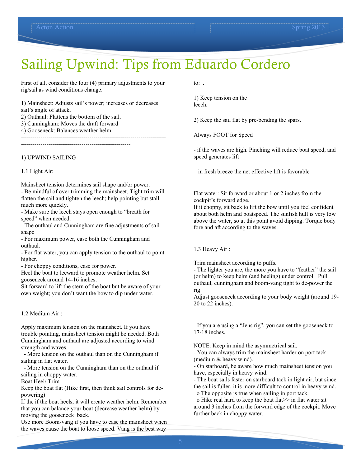### Sailing Upwind: Tips from Eduardo Cordero

First of all, consider the four (4) primary adjustments to your rig/sail as wind conditions change.

1) Mainsheet: Adjusts sail's power; increases or decreases sail's angle of attack.

2) Outhaul: Flattens the bottom of the sail.

3) Cunningham: Moves the draft forward

4) Gooseneck: Balances weather helm. --------------------------------------------------------------------------

--------------------------------------------------------

1) UPWIND SAILING

1.1 Light Air:

Mainsheet tension determines sail shape and/or power. - Be mindful of over trimming the mainsheet. Tight trim will flatten the sail and tighten the leech; help pointing but stall much more quickly.

- Make sure the leech stays open enough to "breath for speed" when needed.

- The outhaul and Cunningham are fine adjustments of sail shape

- For maximum power, ease both the Cunningham and outhaul.

- For flat water, you can apply tension to the outhaul to point higher.

- For choppy conditions, ease for power.

Heel the boat to leeward to promote weather helm. Set gooseneck around 14-16 inches.

Sit forward to lift the stern of the boat but be aware of your own weight; you don't want the bow to dip under water.

1.2 Medium Air :

Apply maximum tension on the mainsheet. If you have trouble pointing, mainsheet tension might be needed. Both Cunningham and outhaul are adjusted according to wind strength and waves.

- More tension on the outhaul than on the Cunningham if sailing in flat water.

- More tension on the Cunningham than on the outhaul if sailing in choppy water.

Boat Heel/ Trim

Keep the boat flat (Hike first, then think sail controls for depowering)

If the if the boat heels, it will create weather helm. Remember that you can balance your boat (decrease weather helm) by moving the gooseneck back.

Use more Boom-vang if you have to ease the mainsheet when the waves cause the boat to loose speed. Vang is the best way

to: .

1) Keep tension on the leech.

2) Keep the sail flat by pre-bending the spars.

Always FOOT for Speed

- if the waves are high. Pinching will reduce boat speed, and speed generates lift

– in fresh breeze the net effective lift is favorable

Flat water: Sit forward or about 1 or 2 inches from the cockpit's forward edge.

If it choppy, sit back to lift the bow until you feel confident about both helm and boatspeed. The sunfish hull is very low above the water, so at this point avoid dipping. Torque body fore and aft according to the waves.

1.3 Heavy Air :

Trim mainsheet according to puffs.

- The lighter you are, the more you have to "feather" the sail (or helm) to keep helm (and heeling) under control. Pull outhaul, cunningham and boom-vang tight to de-power the rig

Adjust gooseneck according to your body weight (around 19- 20 to 22 inches).

- If you are using a "Jens rig", you can set the gooseneck to 17-18 inches.

NOTE: Keep in mind the asymmetrical sail.

- You can always trim the mainsheet harder on port tack (medium & heavy wind).

- On starboard, be aware how much mainsheet tension you have, especially in heavy wind.

- The boat sails faster on starboard tack in light air, but since the sail is fuller, it is more difficult to control in heavy wind. o The opposite is true when sailing in port tack.

o Hike real hard to keep the boat flat>> in flat water sit around 3 inches from the forward edge of the cockpit. Move further back in choppy water.